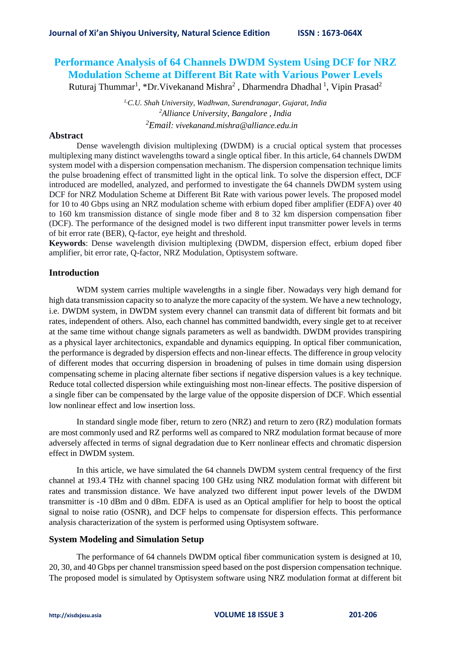# **Performance Analysis of 64 Channels DWDM System Using DCF for NRZ Modulation Scheme at Different Bit Rate with Various Power Levels**

Ruturaj Thummar<sup>1</sup>, \*Dr. Vivekanand Mishra<sup>2</sup>, Dharmendra Dhadhal<sup>1</sup>, Vipin Prasad<sup>2</sup>

*1,C.U. Shah University, Wadhwan, Surendranagar, Gujarat, India <sup>2</sup>Alliance University, Bangalore , India <sup>2</sup>Email: vivekanand.mishra@alliance.edu.in*

## **Abstract**

Dense wavelength division multiplexing (DWDM) is a crucial optical system that processes multiplexing many distinct wavelengths toward a single optical fiber. In this article, 64 channels DWDM system model with a dispersion compensation mechanism. The dispersion compensation technique limits the pulse broadening effect of transmitted light in the optical link. To solve the dispersion effect, DCF introduced are modelled, analyzed, and performed to investigate the 64 channels DWDM system using DCF for NRZ Modulation Scheme at Different Bit Rate with various power levels. The proposed model for 10 to 40 Gbps using an NRZ modulation scheme with erbium doped fiber amplifier (EDFA) over 40 to 160 km transmission distance of single mode fiber and 8 to 32 km dispersion compensation fiber (DCF). The performance of the designed model is two different input transmitter power levels in terms of bit error rate (BER), Q-factor, eye height and threshold.

**Keywords**: Dense wavelength division multiplexing (DWDM, dispersion effect, erbium doped fiber amplifier, bit error rate, Q-factor, NRZ Modulation, Optisystem software.

# **Introduction**

WDM system carries multiple wavelengths in a single fiber. Nowadays very high demand for high data transmission capacity so to analyze the more capacity of the system. We have a new technology, i.e. DWDM system, in DWDM system every channel can transmit data of different bit formats and bit rates, independent of others. Also, each channel has committed bandwidth, every single get to at receiver at the same time without change signals parameters as well as bandwidth. DWDM provides transpiring as a physical layer architectonics, expandable and dynamics equipping. In optical fiber communication, the performance is degraded by dispersion effects and non-linear effects. The difference in group velocity of different modes that occurring dispersion in broadening of pulses in time domain using dispersion compensating scheme in placing alternate fiber sections if negative dispersion values is a key technique. Reduce total collected dispersion while extinguishing most non-linear effects. The positive dispersion of a single fiber can be compensated by the large value of the opposite dispersion of DCF. Which essential low nonlinear effect and low insertion loss.

In standard single mode fiber, return to zero (NRZ) and return to zero (RZ) modulation formats are most commonly used and RZ performs well as compared to NRZ modulation format because of more adversely affected in terms of signal degradation due to Kerr nonlinear effects and chromatic dispersion effect in DWDM system.

In this article, we have simulated the 64 channels DWDM system central frequency of the first channel at 193.4 THz with channel spacing 100 GHz using NRZ modulation format with different bit rates and transmission distance. We have analyzed two different input power levels of the DWDM transmitter is -10 dBm and 0 dBm. EDFA is used as an Optical amplifier for help to boost the optical signal to noise ratio (OSNR), and DCF helps to compensate for dispersion effects. This performance analysis characterization of the system is performed using Optisystem software.

## **System Modeling and Simulation Setup**

The performance of 64 channels DWDM optical fiber communication system is designed at 10, 20, 30, and 40 Gbps per channel transmission speed based on the post dispersion compensation technique. The proposed model is simulated by Optisystem software using NRZ modulation format at different bit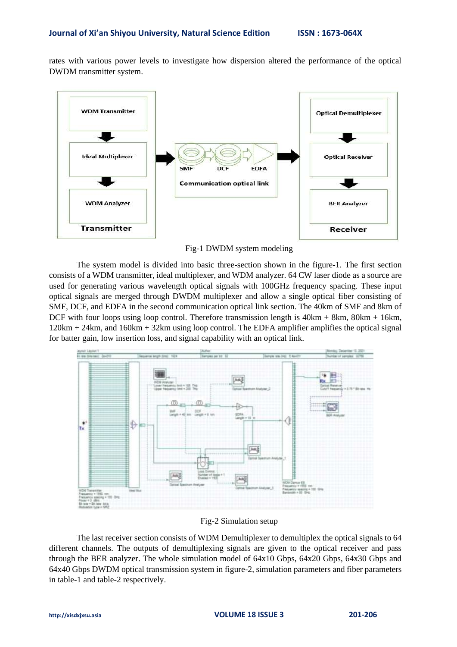rates with various power levels to investigate how dispersion altered the performance of the optical DWDM transmitter system.



Fig-1 DWDM system modeling

The system model is divided into basic three-section shown in the figure-1. The first section consists of a WDM transmitter, ideal multiplexer, and WDM analyzer. 64 CW laser diode as a source are used for generating various wavelength optical signals with 100GHz frequency spacing. These input optical signals are merged through DWDM multiplexer and allow a single optical fiber consisting of SMF, DCF, and EDFA in the second communication optical link section. The 40km of SMF and 8km of DCF with four loops using loop control. Therefore transmission length is  $40km + 8km$ ,  $80km + 16km$ , 120km + 24km, and 160km + 32km using loop control. The EDFA amplifier amplifies the optical signal for batter gain, low insertion loss, and signal capability with an optical link.



Fig-2 Simulation setup

The last receiver section consists of WDM Demultiplexer to demultiplex the optical signals to 64 different channels. The outputs of demultiplexing signals are given to the optical receiver and pass through the BER analyzer. The whole simulation model of 64x10 Gbps, 64x20 Gbps, 64x30 Gbps and 64x40 Gbps DWDM optical transmission system in figure-2, simulation parameters and fiber parameters in table-1 and table-2 respectively.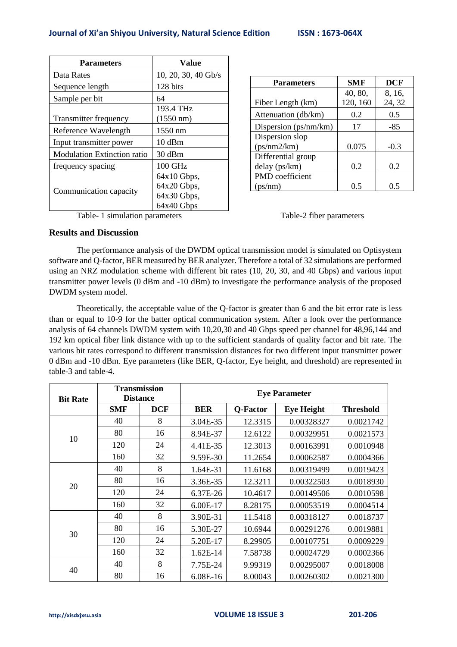# **Journal of Xi'an Shiyou University, Natural Science Edition ISSN : 1673-064X**

| <b>Parameters</b>                  | <b>Value</b>        |  |  |
|------------------------------------|---------------------|--|--|
| Data Rates                         | 10, 20, 30, 40 Gb/s |  |  |
| Sequence length                    | 128 bits            |  |  |
| Sample per bit                     | 64                  |  |  |
|                                    | 193.4 THz           |  |  |
| <b>Transmitter frequency</b>       | $(1550 \text{ nm})$ |  |  |
| Reference Wavelength               | 1550 nm             |  |  |
| Input transmitter power            | 10dBm               |  |  |
| <b>Modulation Extinction ratio</b> | 30 dBm              |  |  |
| frequency spacing                  | $100$ GHz           |  |  |
|                                    | $64x10$ Gbps,       |  |  |
|                                    | 64x20 Gbps,         |  |  |
| Communication capacity             | 64x30 Gbps,         |  |  |
|                                    | 64x40 Gbps          |  |  |

| <b>Parameters</b>     | <b>SMF</b> | <b>DCF</b> |  |
|-----------------------|------------|------------|--|
|                       | 40, 80,    | 8, 16,     |  |
| Fiber Length (km)     | 120, 160   | 24, 32     |  |
| Attenuation (db/km)   | 0.2        | 0.5        |  |
| Dispersion (ps/nm/km) | 17         | -85        |  |
| Dispersion slop       |            |            |  |
| (ps/mm2/km)           | 0.075      | $-0.3$     |  |
| Differential group    |            |            |  |
| delay (ps/km)         | 0.2        | 0.2        |  |
| PMD coefficient       |            |            |  |
| (ps/nm)               | () 5       | 0.5        |  |

Table- 1 simulation parameters Table-2 fiber parameters

## **Results and Discussion**

The performance analysis of the DWDM optical transmission model is simulated on Optisystem software and Q-factor, BER measured by BER analyzer. Therefore a total of 32 simulations are performed using an NRZ modulation scheme with different bit rates (10, 20, 30, and 40 Gbps) and various input transmitter power levels (0 dBm and -10 dBm) to investigate the performance analysis of the proposed DWDM system model.

Theoretically, the acceptable value of the Q-factor is greater than 6 and the bit error rate is less than or equal to 10-9 for the batter optical communication system. After a look over the performance analysis of 64 channels DWDM system with 10,20,30 and 40 Gbps speed per channel for 48,96,144 and 192 km optical fiber link distance with up to the sufficient standards of quality factor and bit rate. The various bit rates correspond to different transmission distances for two different input transmitter power 0 dBm and -10 dBm. Eye parameters (like BER, Q-factor, Eye height, and threshold) are represented in table-3 and table-4.

| <b>Bit Rate</b> | <b>Transmission</b><br><b>Distance</b> |            | <b>Eye Parameter</b> |          |                   |                  |
|-----------------|----------------------------------------|------------|----------------------|----------|-------------------|------------------|
|                 | <b>SMF</b>                             | <b>DCF</b> | <b>BER</b>           | Q-Factor | <b>Eye Height</b> | <b>Threshold</b> |
| 10              | 40                                     | 8          | 3.04E-35             | 12.3315  | 0.00328327        | 0.0021742        |
|                 | 80                                     | 16         | 8.94E-37             | 12.6122  | 0.00329951        | 0.0021573        |
|                 | 120                                    | 24         | 4.41E-35             | 12.3013  | 0.00163991        | 0.0010948        |
|                 | 160                                    | 32         | 9.59E-30             | 11.2654  | 0.00062587        | 0.0004366        |
| 20              | 40                                     | 8          | 1.64E-31             | 11.6168  | 0.00319499        | 0.0019423        |
|                 | 80                                     | 16         | 3.36E-35             | 12.3211  | 0.00322503        | 0.0018930        |
|                 | 120                                    | 24         | 6.37E-26             | 10.4617  | 0.00149506        | 0.0010598        |
|                 | 160                                    | 32         | 6.00E-17             | 8.28175  | 0.00053519        | 0.0004514        |
|                 | 40                                     | 8          | 3.90E-31             | 11.5418  | 0.00318127        | 0.0018737        |
| 30              | 80                                     | 16         | 5.30E-27             | 10.6944  | 0.00291276        | 0.0019881        |
|                 | 120                                    | 24         | 5.20E-17             | 8.29905  | 0.00107751        | 0.0009229        |
|                 | 160                                    | 32         | 1.62E-14             | 7.58738  | 0.00024729        | 0.0002366        |
| 40              | 40                                     | 8          | 7.75E-24             | 9.99319  | 0.00295007        | 0.0018008        |
|                 | 80                                     | 16         | 6.08E-16             | 8.00043  | 0.00260302        | 0.0021300        |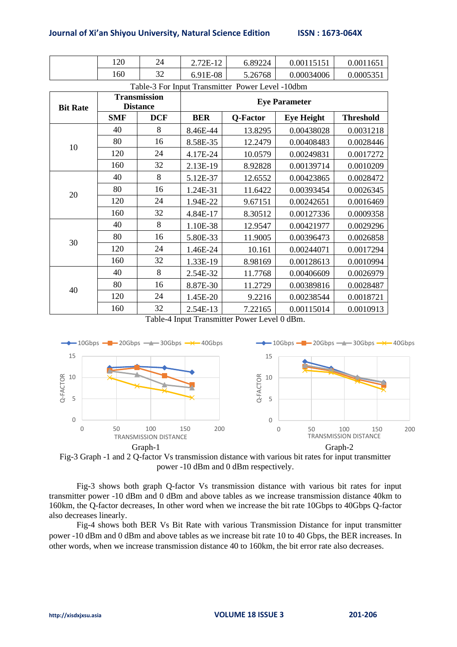### **Journal of Xi'an Shiyou University, Natural Science Edition ISSN : 1673-064X**

| 100<br>⊥∠∪ | 24        | 2.72E-12 | 6.89224 | 0.00115151 | 0.001165 |
|------------|-----------|----------|---------|------------|----------|
| .60        | າາ<br>ے ر | 6.91E-08 | 5.26768 | 0.00034006 | 0.000535 |

Table-3 For Input Transmitter Power Level -10dbm

| <b>Bit Rate</b> | <b>Transmission</b><br><b>Distance</b> |            | <b>Eye Parameter</b> |          |                   |                  |
|-----------------|----------------------------------------|------------|----------------------|----------|-------------------|------------------|
|                 | <b>SMF</b>                             | <b>DCF</b> | <b>BER</b>           | Q-Factor | <b>Eye Height</b> | <b>Threshold</b> |
| 10              | 40                                     | 8          | 8.46E-44             | 13.8295  | 0.00438028        | 0.0031218        |
|                 | 80                                     | 16         | 8.58E-35             | 12.2479  | 0.00408483        | 0.0028446        |
|                 | 120                                    | 24         | 4.17E-24             | 10.0579  | 0.00249831        | 0.0017272        |
|                 | 160                                    | 32         | 2.13E-19             | 8.92828  | 0.00139714        | 0.0010209        |
| 20              | 40                                     | 8          | 5.12E-37             | 12.6552  | 0.00423865        | 0.0028472        |
|                 | 80                                     | 16         | 1.24E-31             | 11.6422  | 0.00393454        | 0.0026345        |
|                 | 120                                    | 24         | 1.94E-22             | 9.67151  | 0.00242651        | 0.0016469        |
|                 | 160                                    | 32         | 4.84E-17             | 8.30512  | 0.00127336        | 0.0009358        |
|                 | 40                                     | 8          | 1.10E-38             | 12.9547  | 0.00421977        | 0.0029296        |
| 30              | 80                                     | 16         | 5.80E-33             | 11.9005  | 0.00396473        | 0.0026858        |
|                 | 120                                    | 24         | 1.46E-24             | 10.161   | 0.00244071        | 0.0017294        |
|                 | 160                                    | 32         | 1.33E-19             | 8.98169  | 0.00128613        | 0.0010994        |
| 40              | 40                                     | 8          | 2.54E-32             | 11.7768  | 0.00406609        | 0.0026979        |
|                 | 80                                     | 16         | 8.87E-30             | 11.2729  | 0.00389816        | 0.0028487        |
|                 | 120                                    | 24         | 1.45E-20             | 9.2216   | 0.00238544        | 0.0018721        |
|                 | 160                                    | 32         | 2.54E-13             | 7.22165  | 0.00115014        | 0.0010913        |

Table-4 Input Transmitter Power Level 0 dBm.





Fig-3 shows both graph Q-factor Vs transmission distance with various bit rates for input transmitter power -10 dBm and 0 dBm and above tables as we increase transmission distance 40km to 160km, the Q-factor decreases, In other word when we increase the bit rate 10Gbps to 40Gbps Q-factor also decreases linearly.

Fig-4 shows both BER Vs Bit Rate with various Transmission Distance for input transmitter power -10 dBm and 0 dBm and above tables as we increase bit rate 10 to 40 Gbps, the BER increases. In other words, when we increase transmission distance 40 to 160km, the bit error rate also decreases.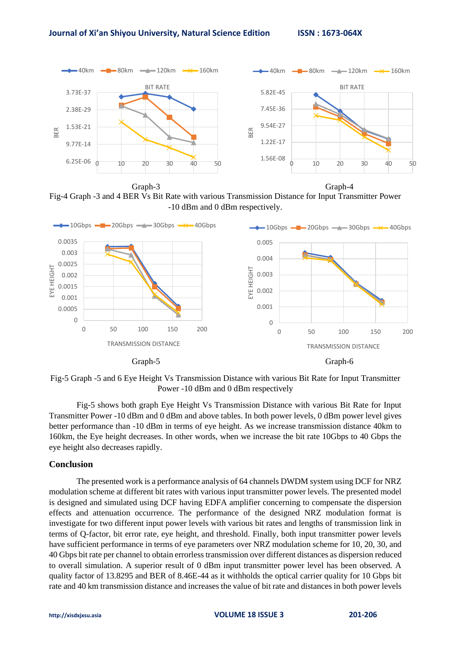

Graph-3 Graph-4 Fig-4 Graph -3 and 4 BER Vs Bit Rate with various Transmission Distance for Input Transmitter Power



Fig-5 Graph -5 and 6 Eye Height Vs Transmission Distance with various Bit Rate for Input Transmitter Power -10 dBm and 0 dBm respectively

Fig-5 shows both graph Eye Height Vs Transmission Distance with various Bit Rate for Input Transmitter Power -10 dBm and 0 dBm and above tables. In both power levels, 0 dBm power level gives better performance than -10 dBm in terms of eye height. As we increase transmission distance 40km to 160km, the Eye height decreases. In other words, when we increase the bit rate 10Gbps to 40 Gbps the eye height also decreases rapidly.

### **Conclusion**

The presented work is a performance analysis of 64 channels DWDM system using DCF for NRZ modulation scheme at different bit rates with various input transmitter power levels. The presented model is designed and simulated using DCF having EDFA amplifier concerning to compensate the dispersion effects and attenuation occurrence. The performance of the designed NRZ modulation format is investigate for two different input power levels with various bit rates and lengths of transmission link in terms of Q-factor, bit error rate, eye height, and threshold. Finally, both input transmitter power levels have sufficient performance in terms of eye parameters over NRZ modulation scheme for 10, 20, 30, and 40 Gbps bit rate per channel to obtain errorless transmission over different distances as dispersion reduced to overall simulation. A superior result of 0 dBm input transmitter power level has been observed. A quality factor of 13.8295 and BER of 8.46E-44 as it withholds the optical carrier quality for 10 Gbps bit rate and 40 km transmission distance and increases the value of bit rate and distances in both power levels